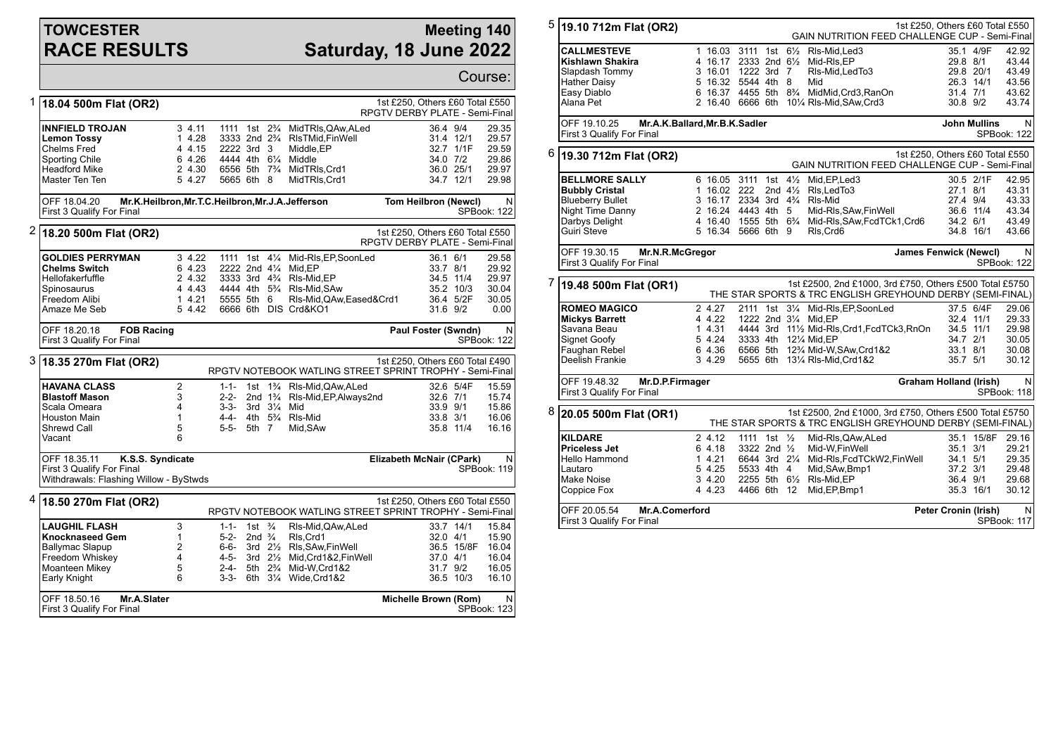## **TOWCESTER RACE RESULTS**

## **Meeting 140 Saturday, 18 June 2022**

|   |                                                                                                                                |                                                                 |                                                                                                              |                                                              |                                   |                                                                                                                                                         |                                                                   |                                                              | Course:                                            |
|---|--------------------------------------------------------------------------------------------------------------------------------|-----------------------------------------------------------------|--------------------------------------------------------------------------------------------------------------|--------------------------------------------------------------|-----------------------------------|---------------------------------------------------------------------------------------------------------------------------------------------------------|-------------------------------------------------------------------|--------------------------------------------------------------|----------------------------------------------------|
| 1 | 18.04 500m Flat (OR2)                                                                                                          |                                                                 |                                                                                                              |                                                              |                                   |                                                                                                                                                         | 1st £250, Others £60 Total £550<br>RPGTV DERBY PLATE - Semi-Final |                                                              |                                                    |
|   | <b>INNFIELD TROJAN</b><br><b>Lemon Tossy</b><br><b>Chelms Fred</b><br>Sporting Chile<br><b>Headford Mike</b><br>Master Ten Ten | 34.11<br>1 4.28<br>4 4.15<br>6 4.26<br>2 4.30<br>5 4.27         | 1111 1st 2 <sup>3</sup> / <sub>4</sub><br>3333 2nd 2 <sup>3</sup> / <sub>4</sub><br>2222 3rd 3<br>5665 6th 8 |                                                              |                                   | MidTRIs, QAw, ALed<br>RIsTMid,FinWell<br>Middle, EP<br>4444 4th 6¼ Middle<br>6556 5th 73/4 MidTRIs, Crd1<br>MidTRIs, Crd1                               | 36.4 9/4                                                          | 31.4 12/1<br>32.7 1/1F<br>34.0 7/2<br>36.0 25/1<br>34.7 12/1 | 29.35<br>29.57<br>29.59<br>29.86<br>29.97<br>29.98 |
|   | Mr.K.Heilbron, Mr.T.C.Heilbron, Mr.J.A.Jefferson<br>OFF 18.04.20<br>First 3 Qualify For Final                                  |                                                                 |                                                                                                              |                                                              |                                   |                                                                                                                                                         | Tom Heilbron (Newcl)                                              |                                                              | N<br><b>SPBook: 122</b>                            |
| 2 | 18.20 500m Flat (OR2)                                                                                                          |                                                                 |                                                                                                              |                                                              |                                   |                                                                                                                                                         | 1st £250, Others £60 Total £550<br>RPGTV DERBY PLATE - Semi-Final |                                                              |                                                    |
|   | <b>GOLDIES PERRYMAN</b><br><b>Chelms Switch</b><br>Hellofakerfuffle<br>Spinosaurus<br>Freedom Alibi<br>Amaze Me Seb            | 3 4.22<br>6 4.23<br>2 4.32<br>4 4.43<br>14.21<br>5 4.42         | 1111 1st 41/4<br>2222 2nd 41/4<br>3333 3rd 4 <sup>3</sup> / <sub>4</sub><br>5555 5th 6                       |                                                              |                                   | Mid-RIs, EP, SoonLed<br>Mid,EP<br>RIs-Mid,EP<br>4444 4th 5 <sup>3</sup> / <sub>4</sub> RIs-Mid, SAw<br>Rls-Mid, QAw, Eased&Crd1<br>6666 6th DIS Crd&KO1 | 36.1 6/1<br>33.7 8/1<br>31.6 9/2                                  | 34.5 11/4<br>35.2 10/3<br>36.4 5/2F                          | 29.58<br>29.92<br>29.97<br>30.04<br>30.05<br>0.00  |
|   | <b>FOB Racing</b><br>OFF 18.20.18<br>First 3 Qualify For Final                                                                 |                                                                 |                                                                                                              |                                                              |                                   |                                                                                                                                                         | Paul Foster (Swndn)                                               |                                                              | N<br>SPBook: 122                                   |
| 3 | 18.35 270m Flat (OR2)                                                                                                          |                                                                 | 1st £250, Others £60 Total £490<br>RPGTV NOTEBOOK WATLING STREET SPRINT TROPHY - Semi-Final                  |                                                              |                                   |                                                                                                                                                         |                                                                   |                                                              |                                                    |
|   | <b>HAVANA CLASS</b><br><b>Blastoff Mason</b><br>Scala Omeara<br><b>Houston Main</b><br>Shrewd Call<br>Vacant                   | $\overline{2}$<br>3<br>$\overline{4}$<br>$\mathbf{1}$<br>5<br>6 | $1 - 1 -$<br>$2 - 2 -$<br>$3 - 3 -$<br>4-4-<br>$5-5-$                                                        | $3rd \frac{3\frac{1}{4}}{4}$<br>5th 7                        | 2nd $1\frac{3}{4}$                | 1st 1% RIs-Mid, QAw, ALed<br>RIs-Mid, EP, Always 2nd<br>Mid<br>4th 5 <sup>3</sup> / <sub>4</sub> RIs-Mid<br>Mid.SAw                                     | 32.6 7/1<br>33.9 9/1<br>33.8 3/1                                  | 32.6 5/4F<br>35.8 11/4                                       | 15.59<br>15.74<br>15.86<br>16.06<br>16.16          |
|   | OFF 18.35.11<br>K.S.S. Syndicate<br>First 3 Qualify For Final<br>Withdrawals: Flashing Willow - ByStwds                        |                                                                 |                                                                                                              |                                                              |                                   |                                                                                                                                                         | Elizabeth McNair (CPark)                                          |                                                              | N<br>SPBook: 119                                   |
|   | $4 18.50270m$ Flat (OR2)                                                                                                       |                                                                 | 1st £250. Others £60 Total £550<br>RPGTV NOTEBOOK WATLING STREET SPRINT TROPHY - Semi-Final                  |                                                              |                                   |                                                                                                                                                         |                                                                   |                                                              |                                                    |
|   | <b>LAUGHIL FLASH</b><br><b>Knocknaseed Gem</b><br><b>Ballymac Slapup</b><br>Freedom Whiskey<br>Moanteen Mikey<br>Early Knight  | 3<br>1<br>$\overline{2}$<br>4<br>5<br>6                         | $1 - 1 -$<br>$5 - 2 -$<br>6-6-<br>$4 - 5 -$<br>$2 - 4 -$<br>$3-3-$                                           | 1st $\frac{3}{4}$<br>2nd $\frac{3}{4}$<br>6th $3\frac{1}{4}$ | 5th 2 <sup>3</sup> / <sub>4</sub> | RIs-Mid, QAw, ALed<br>RIs, Crd1<br>3rd 21/2 RIs, SAw, Fin Well<br>3rd 21/ <sub>2</sub> Mid.Crd1&2.FinWell<br>Mid-W,Crd1&2<br>Wide, Crd1&2               | 32.0 4/1<br>37.0 4/1<br>31.7 9/2                                  | 33.7 14/1<br>36.5 15/8F<br>36.5 10/3                         | 15.84<br>15.90<br>16.04<br>16.04<br>16.05<br>16.10 |
|   | OFF 18.50.16<br>Mr.A.Slater<br>First 3 Qualify For Final                                                                       |                                                                 |                                                                                                              |                                                              |                                   |                                                                                                                                                         | Michelle Brown (Rom)                                              |                                                              | N<br>SPBook: 123                                   |

| 5                                                                                                                                                   | 19.10 712m Flat (OR2)                                                                                                          |                                                          |                                                                                      |  | <b>GAIN NUTRITION FEED CHALLENGE CUP - Semi-Final</b>                                                                                                                                                                    | 1st £250, Others £60 Total £550              |                                                 |                                                    |  |
|-----------------------------------------------------------------------------------------------------------------------------------------------------|--------------------------------------------------------------------------------------------------------------------------------|----------------------------------------------------------|--------------------------------------------------------------------------------------|--|--------------------------------------------------------------------------------------------------------------------------------------------------------------------------------------------------------------------------|----------------------------------------------|-------------------------------------------------|----------------------------------------------------|--|
|                                                                                                                                                     | <b>CALLMESTEVE</b><br>Kishlawn Shakira<br>Slapdash Tommy<br><b>Hather Daisy</b><br>Easy Diablo<br>Alana Pet                    |                                                          | 3 16.01 1222 3rd 7<br>5 16.32 5544 4th 8                                             |  | 1 16.03 3111 1st 61/2 RIs-Mid, Led 3<br>4 16.17 2333 2nd 61/2 Mid-RIs, EP<br>RIs-Mid, Led To 3<br>Mid<br>6 16.37 4455 5th 8 <sup>3</sup> / <sub>4</sub> MidMid, Crd3, RanOn<br>2 16.40 6666 6th 101/4 RIs-Mid, SAw, Crd3 | 31.4 7/1<br>30.8 9/2                         | 35.1 4/9F<br>29.8 8/1<br>29.8 20/1<br>26.3 14/1 | 42.92<br>43.44<br>43.49<br>43.56<br>43.62<br>43.74 |  |
|                                                                                                                                                     | Mr.A.K.Ballard, Mr.B.K.Sadler<br>OFF 19.10.25<br>First 3 Qualify For Final                                                     |                                                          |                                                                                      |  |                                                                                                                                                                                                                          |                                              | <b>John Mullins</b>                             | N<br>SPBook: 122                                   |  |
| 6                                                                                                                                                   | 1st £250, Others £60 Total £550<br> 19.30 712m Flat (OR2)<br>GAIN NUTRITION FEED CHALLENGE CUP - Semi-Final                    |                                                          |                                                                                      |  |                                                                                                                                                                                                                          |                                              |                                                 |                                                    |  |
|                                                                                                                                                     | <b>BELLMORE SALLY</b><br><b>Bubbly Cristal</b><br><b>Blueberry Bullet</b><br>Night Time Danny<br>Darbys Delight<br>Guiri Steve | 1 16.02 222                                              | 3 16.17 2334 3rd 43/4 RIs-Mid<br>2 16.24 4443 4th 5<br>5 16.34 5666 6th 9            |  | 6 16.05 3111 1st 41/2 Mid, EP, Led 3<br>2nd $4\frac{1}{2}$ RIs. Led To 3<br>Mid-RIs, SAw, Fin Well<br>4 16.40 1555 5th 6 <sup>3</sup> / <sub>4</sub> Mid-RIs, SAw, Fcd TCk1, Crd6<br>Rls, Crd6                           | 27.1 8/1<br>27.4 9/4<br>34.2 6/1             | 30.5 2/1F<br>36.6 11/4<br>34.8 16/1             | 42.95<br>43.31<br>43.33<br>43.34<br>43.49<br>43.66 |  |
|                                                                                                                                                     | OFF 19.30.15<br>Mr.N.R.McGregor<br>First 3 Qualify For Final                                                                   |                                                          |                                                                                      |  | <b>James Fenwick (Newcl)</b>                                                                                                                                                                                             |                                              | N<br>SPBook: 122                                |                                                    |  |
| 7<br>1st £2500, 2nd £1000, 3rd £750, Others £500 Total £5750<br>19.48 500m Flat (OR1)<br>THE STAR SPORTS & TRC ENGLISH GREYHOUND DERBY (SEMI-FINAL) |                                                                                                                                |                                                          |                                                                                      |  |                                                                                                                                                                                                                          |                                              |                                                 |                                                    |  |
|                                                                                                                                                     | <b>ROMEO MAGICO</b><br><b>Mickys Barrett</b><br>Savana Beau<br>Signet Goofy<br>Faughan Rebel<br>Deelish Frankie                | 2 4.27<br>4 4.22<br>1 4.31<br>5 4.24<br>6 4.36<br>3 4.29 | 1222 2nd 31/4 Mid.EP<br>3333 4th 121/4 Mid.EP                                        |  | 2111 1st 31/4 Mid-RIs, EP, SoonLed<br>4444 3rd 111/2 Mid-RIs, Crd1, FcdTCk3, RnOn<br>6566 5th 12% Mid-W, SAw, Crd1&2<br>5655 6th 131/4 RIs-Mid, Crd1&2                                                                   | 34.7 2/1<br>33.1 8/1<br>35.7 5/1             | 37.5 6/4F<br>32.4 11/1<br>34.5 11/1             | 29.06<br>29.33<br>29.98<br>30.05<br>30.08<br>30.12 |  |
|                                                                                                                                                     | OFF 19.48.32<br>Mr.D.P.Firmager<br>First 3 Qualify For Final                                                                   |                                                          | <b>Graham Holland (Irish)</b>                                                        |  | N<br>SPBook: 118                                                                                                                                                                                                         |                                              |                                                 |                                                    |  |
| 8                                                                                                                                                   | 20.05 500m Flat (OR1)                                                                                                          |                                                          |                                                                                      |  | 1st £2500, 2nd £1000, 3rd £750, Others £500 Total £5750<br>THE STAR SPORTS & TRC ENGLISH GREYHOUND DERBY (SEMI-FINAL)                                                                                                    |                                              |                                                 |                                                    |  |
|                                                                                                                                                     | <b>KILDARE</b><br><b>Priceless Jet</b><br>Hello Hammond<br>Lautaro<br>Make Noise<br>Coppice Fox                                | 2 4.12<br>6 4.18<br>1 4.21<br>5 4.25<br>3 4.20<br>4 4.23 | 1111 1st $\frac{1}{2}$<br>3322 2nd 1/2<br>6644 3rd 21/4<br>5533 4th 4<br>4466 6th 12 |  | Mid-RIs, QAw, ALed<br>Mid-W, Fin Well<br>Mid-RIs, FcdTCkW2, FinWell<br>Mid, SAw, Bmp1<br>2255 5th 61/2 RIs-Mid, EP<br>Mid, EP, Bmp1                                                                                      | 35.1 3/1<br>34.1 5/1<br>37.2 3/1<br>36.4 9/1 | 35.1 15/8F<br>35.3 16/1                         | 29.16<br>29.21<br>29.35<br>29.48<br>29.68<br>30.12 |  |
|                                                                                                                                                     | OFF 20.05.54<br><b>Mr.A.Comerford</b><br><b>Peter Cronin (Irish)</b><br>SPBook: 117<br>First 3 Qualify For Final               |                                                          |                                                                                      |  |                                                                                                                                                                                                                          |                                              |                                                 |                                                    |  |